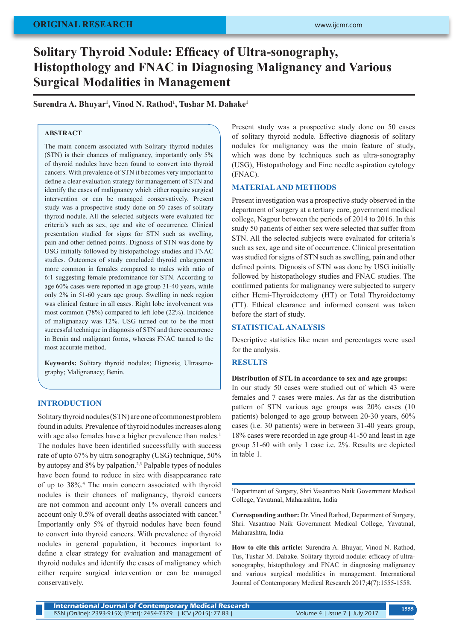# **Solitary Thyroid Nodule: Efficacy of Ultra-sonography, Histopthology and FNAC in Diagnosing Malignancy and Various Surgical Modalities in Management**

**Surendra A. Bhuyar<sup>1</sup> , Vinod N. Rathod<sup>1</sup> , Tushar M. Dahake<sup>1</sup>**

## **ABSTRACT**

The main concern associated with Solitary thyroid nodules (STN) is their chances of malignancy, importantly only 5% of thyroid nodules have been found to convert into thyroid cancers. With prevalence of STN it becomes very important to define a clear evaluation strategy for management of STN and identify the cases of malignancy which either require surgical intervention or can be managed conservatively. Present study was a prospective study done on 50 cases of solitary thyroid nodule. All the selected subjects were evaluated for criteria's such as sex, age and site of occurrence. Clinical presentation studied for signs for STN such as swelling, pain and other defined points. Dignosis of STN was done by USG initially followed by histopathology studies and FNAC studies. Outcomes of study concluded thyroid enlargement more common in females compared to males with ratio of 6:1 suggesting female predominance for STN. According to age 60% cases were reported in age group 31-40 years, while only 2% in 51-60 years age group. Swelling in neck region was clinical feature in all cases. Right lobe involvement was most common (78%) compared to left lobe (22%). Incidence of malignanacy was 12%. USG turned out to be the most successful technique in diagnosis of STN and there occurrence in Benin and malignant forms, whereas FNAC turned to the most accurate method.

**Keywords:** Solitary thyroid nodules; Dignosis; Ultrasonography; Malignanacy; Benin.

# **INTRODUCTION**

Solitary thyroid nodules (STN) are one of commonest problem found in adults. Prevalence of thyroid nodules increases along with age also females have a higher prevalence than males.<sup>1</sup> The nodules have been identified successfully with success rate of upto 67% by ultra sonography (USG) technique, 50% by autopsy and 8% by palpation.<sup>2,3</sup> Palpable types of nodules have been found to reduce in size with disappearance rate of up to 38%.4 The main concern associated with thyroid nodules is their chances of malignancy, thyroid cancers are not common and account only 1% overall cancers and account only 0.5% of overall deaths associated with cancer.<sup>5</sup> Importantly only 5% of thyroid nodules have been found to convert into thyroid cancers. With prevalence of thyroid nodules in general population, it becomes important to define a clear strategy for evaluation and management of thyroid nodules and identify the cases of malignancy which either require surgical intervention or can be managed conservatively.

Present study was a prospective study done on 50 cases of solitary thyroid nodule. Effective diagnosis of solitary nodules for malignancy was the main feature of study, which was done by techniques such as ultra-sonography (USG), Histopathology and Fine needle aspiration cytology (FNAC).

# **MATERIAL AND METHODS**

Present investigation was a prospective study observed in the department of surgery at a tertiary care, government medical college, Nagpur between the periods of 2014 to 2016. In this study 50 patients of either sex were selected that suffer from STN. All the selected subjects were evaluated for criteria's such as sex, age and site of occurrence. Clinical presentation was studied for signs of STN such as swelling, pain and other defined points. Dignosis of STN was done by USG initially followed by histopathology studies and FNAC studies. The confirmed patients for malignancy were subjected to surgery either Hemi-Thyroidectomy (HT) or Total Thyroidectomy (TT). Ethical clearance and informed consent was taken before the start of study.

## **STATISTICAL ANALYSIS**

Descriptive statistics like mean and percentages were used for the analysis.

#### **RESULTS**

## **Distribution of STL in accordance to sex and age groups:**

In our study 50 cases were studied out of which 43 were females and 7 cases were males. As far as the distribution pattern of STN various age groups was 20% cases (10 patients) belonged to age group between 20-30 years, 60% cases (i.e. 30 patients) were in between 31-40 years group, 18% cases were recorded in age group 41-50 and least in age group 51-60 with only 1 case i.e. 2%. Results are depicted in table 1.

1 Department of Surgery, Shri Vasantrao Naik Government Medical College, Yavatmal, Maharashtra, India

**Corresponding author:** Dr. Vinod Rathod, Department of Surgery, Shri. Vasantrao Naik Government Medical College, Yavatmal, Maharashtra, India

**How to cite this article:** Surendra A. Bhuyar, Vinod N. Rathod, Tus, Tushar M. Dahake. Solitary thyroid nodule: efficacy of ultrasonography, histopthology and FNAC in diagnosing malignancy and various surgical modalities in management. International Journal of Contemporary Medical Research 2017;4(7):1555-1558.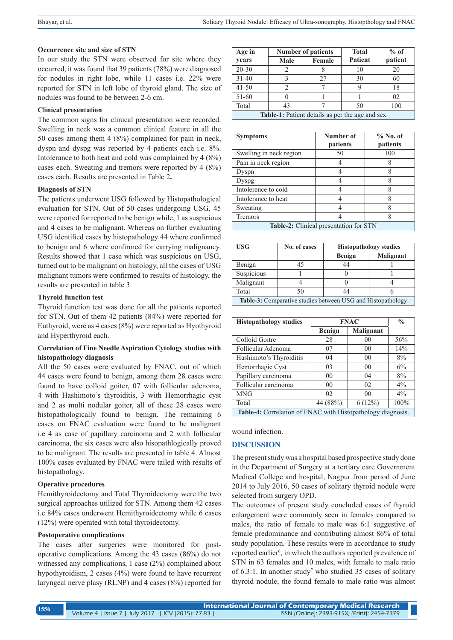#### **Occurrence site and size of STN**

In our study the STN were observed for site where they occurred, it was found that 39 patients (78%) were diagnosed for nodules in right lobe, while 11 cases i.e. 22% were reported for STN in left lobe of thyroid gland. The size of nodules was found to be between 2-6 cm.

#### **Clinical presentation**

The common signs for clinical presentation were recorded. Swelling in neck was a common clinical feature in all the 50 cases among them 4 (8%) complained for pain in neck, dyspn and dyspg was reported by 4 patients each i.e. 8%. Intolerance to both heat and cold was complained by 4 (8%) cases each. Sweating and tremors were reported by 4 (8%) cases each. Results are presented in Table 2**.**

#### **Diagnosis of STN**

The patients underwent USG followed by Histopathological evaluation for STN. Out of 50 cases undergoing USG, 45 were reported for reported to be benign while, 1 as suspicious and 4 cases to be malignant. Whereas on further evaluating USG identified cases by histopathology 44 where confirmed to benign and 6 where confirmed for carrying malignancy. Results showed that 1 case which was suspicious on USG, turned out to be malignant on histology, all the cases of USG malignant tumors were confirmed to results of histology, the results are presented in table 3.

#### **Thyroid function test**

Thyroid function test was done for all the patients reported for STN. Out of them 42 patients (84%) were reported for Euthyroid, were as 4 cases (8%) were reported as Hyothyroid and Hyperthyroid each.

## **Correlation of Fine Needle Aspiration Cytology studies with histopathology diagnosis**

All the 50 cases were evaluated by FNAC, out of which 44 cases were found to benign, among them 28 cases were found to have colloid goiter, 07 with follicular adenoma, 4 with Hashimoto's thyroiditis, 3 with Hemorrhagic cyst and 2 as multi nodular goiter, all of these 28 cases were histopathologically found to benign. The remaining 6 cases on FNAC evaluation were found to be malignant i.e 4 as case of papillary carcinoma and 2 with follicular carcinoma, the six cases were also hisopathlogically proved to be malignant. The results are presented in table 4. Almost 100% cases evaluated by FNAC were tailed with results of histopathology.

## **Operative procedures**

Hemithyroidectomy and Total Thyroidectomy were the two surgical approaches utilized for STN. Among them 42 cases i.e 84% cases underwent Hemithyroidectomy while 6 cases (12%) were operated with total thyroidectomy.

#### **Postoperative complications**

The cases after surgeries were monitored for postoperative complications. Among the 43 cases (86%) do not witnessed any complications, 1 case (2%) complained about hypothyroidism, 2 cases (4%) were found to have recurrent laryngeal nerve plasy (RLNP) and 4 cases (8%) reported for

| Age in                                                 | <b>Number of patients</b> |        | <b>Total</b>   | $%$ of  |  |
|--------------------------------------------------------|---------------------------|--------|----------------|---------|--|
| years                                                  | Male                      | Female | <b>Patient</b> | patient |  |
| $20 - 30$                                              |                           |        | 10             | 20      |  |
| $31 - 40$                                              |                           | 27     | 30             | 60      |  |
| $41 - 50$                                              |                           |        | Q              | 18      |  |
| 51-60                                                  |                           |        |                | 02      |  |
| Total                                                  | 43                        |        | 50             | 100     |  |
| <b>Table-1:</b> Patient details as per the age and sex |                           |        |                |         |  |

| <b>Symptoms</b>                               | Number of | $%$ No. of |  |  |  |
|-----------------------------------------------|-----------|------------|--|--|--|
|                                               | patients  | patients   |  |  |  |
| Swelling in neck region                       | 50        | 100        |  |  |  |
| Pain in neck region                           |           |            |  |  |  |
| Dyspn                                         |           |            |  |  |  |
| Dyspg                                         |           | 8          |  |  |  |
| Intolerence to cold                           |           |            |  |  |  |
| Intolerance to heat                           |           | 8          |  |  |  |
| Sweating                                      |           | 8          |  |  |  |
| Tremors                                       |           |            |  |  |  |
| <b>Table-2:</b> Clinical presentation for STN |           |            |  |  |  |

| <b>USG</b>                                                  | No. of cases | <b>Histopathology studies</b> |                  |  |  |
|-------------------------------------------------------------|--------------|-------------------------------|------------------|--|--|
|                                                             |              | <b>Benign</b>                 | <b>Malignant</b> |  |  |
| Benign                                                      | 45           | 44                            |                  |  |  |
| Suspicious                                                  |              |                               |                  |  |  |
| Malignant                                                   |              |                               |                  |  |  |
| Total                                                       | 50           | 44                            |                  |  |  |
| Table-3: Comparative studies between USG and Histopathology |              |                               |                  |  |  |

| <b>Histopathology studies</b>                                      | <b>FNAC</b>    |                | $\frac{0}{0}$ |  |  |
|--------------------------------------------------------------------|----------------|----------------|---------------|--|--|
|                                                                    | <b>Benign</b>  | Malignant      |               |  |  |
| Colloid Goitre                                                     | 28             | 0 <sup>0</sup> | 56%           |  |  |
| Follicular Adenoma                                                 | 07             | 0 <sup>0</sup> | 14%           |  |  |
| Hashimoto's Thyroiditis                                            | 04             | 0 <sup>0</sup> | 8%            |  |  |
| Hemorrhagic Cyst                                                   | 03             | 0 <sup>0</sup> | 6%            |  |  |
| Papillary carcinoma                                                | 0 <sub>0</sub> | 04             | 8%            |  |  |
| Follicular carcinoma                                               | 0 <sub>0</sub> | 02             | $4\%$         |  |  |
| <b>MNG</b>                                                         | 02             | 0 <sup>0</sup> | 4%            |  |  |
| Total                                                              | 44 (88%)       | 6(12%)         | 100%          |  |  |
| <b>Table-4:</b> Correlation of FNAC with Histopathology diagnosis. |                |                |               |  |  |

#### wound infection.

#### **DISCUSSION**

The present study was a hospital based prospective study done in the Department of Surgery at a tertiary care Government Medical College and hospital, Nagpur from period of June 2014 to July 2016, 50 cases of solitary thyroid nodule were selected from surgery OPD.

The outcomes of present study concluded cases of thyroid enlargement were commonly seen in females compared to males, the ratio of female to male was 6:1 suggestive of female predominance and contributing almost 86% of total study population. These results were in accordance to study reported earlier<sup>6</sup>, in which the authors reported prevalence of STN in 63 females and 10 males, with female to male ratio of  $6.3:1$ . In another study<sup>7</sup> who studied 35 cases of solitary thyroid nodule, the found female to male ratio was almost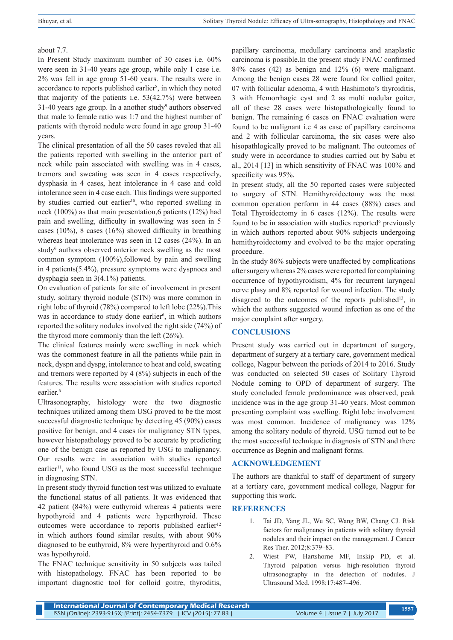# about 7.7.

In Present Study maximum number of 30 cases i.e. 60% were seen in 31-40 years age group, while only 1 case i.e. 2% was fell in age group 51-60 years. The results were in accordance to reports published earlier<sup>8</sup>, in which they noted that majority of the patients i.e. 53(42.7%) were between  $31-40$  years age group. In a another study<sup>9</sup> authors observed that male to female ratio was 1:7 and the highest number of patients with thyroid nodule were found in age group 31-40 years.

The clinical presentation of all the 50 cases reveled that all the patients reported with swelling in the anterior part of neck while pain associated with swelling was in 4 cases, tremors and sweating was seen in 4 cases respectively, dysphasia in 4 cases, heat intolerance in 4 case and cold intolerance seen in 4 case each. This findings were supported by studies carried out earlier<sup>10</sup>, who reported swelling in neck (100%) as that main presentation,6 patients (12%) had pain and swelling, difficulty in swallowing was seen in 5 cases (10%), 8 cases (16%) showed difficulty in breathing whereas heat intolerance was seen in 12 cases (24%). In an study<sup>6</sup> authors observed anterior neck swelling as the most common symptom (100%),followed by pain and swelling in 4 patients(5.4%), pressure symptoms were dyspnoea and dysphagia seen in 3(4.1%) patients.

On evaluation of patients for site of involvement in present study, solitary thyroid nodule (STN) was more common in right lobe of thyroid (78%) compared to left lobe (22%).This was in accordance to study done earlier<sup>6</sup>, in which authors reported the solitary nodules involved the right side (74%) of the thyroid more commonly than the left (26%).

The clinical features mainly were swelling in neck which was the commonest feature in all the patients while pain in neck, dyspn and dyspg, intolerance to heat and cold, sweating and tremors were reported by 4 (8%) subjects in each of the features. The results were association with studies reported earlier.<sup>6</sup>

Ultrasonography, histology were the two diagnostic techniques utilized among them USG proved to be the most successful diagnostic technique by detecting 45 (90%) cases positive for benign, and 4 cases for malignancy STN types, however histopathology proved to be accurate by predicting one of the benign case as reported by USG to malignancy. Our results were in association with studies reported earlier<sup>11</sup>, who found USG as the most successful technique in diagnosing STN.

In present study thyroid function test was utilized to evaluate the functional status of all patients. It was evidenced that 42 patient (84%) were euthyroid whereas 4 patients were hypothyroid and 4 patients were hyperthyroid. These outcomes were accordance to reports published earlier<sup>12</sup> in which authors found similar results, with about 90% diagnosed to be euthyroid, 8% were hyperthyroid and 0.6% was hypothyroid.

The FNAC technique sensitivity in 50 subjects was tailed with histopathology. FNAC has been reported to be important diagnostic tool for colloid goitre, thyroditis,

papillary carcinoma, medullary carcinoma and anaplastic carcinoma is possible.In the present study FNAC confirmed 84% cases (42) as benign and 12% (6) were malignant. Among the benign cases 28 were found for collied goiter, 07 with follicular adenoma, 4 with Hashimoto's thyroiditis, 3 with Hemorrhagic cyst and 2 as multi nodular goiter, all of these 28 cases were histopathologically found to benign. The remaining 6 cases on FNAC evaluation were found to be malignant i.e 4 as case of papillary carcinoma and 2 with follicular carcinoma, the six cases were also hisopathlogically proved to be malignant. The outcomes of study were in accordance to studies carried out by Sabu et al., 2014 [13] in which sensitivity of FNAC was 100% and specificity was 95%.

In present study, all the 50 reported cases were subjected to surgery of STN. Hemithyroidectomy was the most common operation perform in 44 cases (88%) cases and Total Thyroidectomy in 6 cases (12%). The results were found to be in association with studies reported<sup>6</sup> previously in which authors reported about 90% subjects undergoing hemithyroidectomy and evolved to be the major operating procedure.

In the study 86% subjects were unaffected by complications after surgery whereas 2% cases were reported for complaining occurrence of hypothyroidism, 4% for recurrent laryngeal nerve plasy and 8% reported for wound infection. The study disagreed to the outcomes of the reports published<sup>13</sup>, in which the authors suggested wound infection as one of the major complaint after surgery.

# **CONCLUSIONS**

Present study was carried out in department of surgery, department of surgery at a tertiary care, government medical college, Nagpur between the periods of 2014 to 2016. Study was conducted on selected 50 cases of Solitary Thyroid Nodule coming to OPD of department of surgery. The study concluded female predominance was observed, peak incidence was in the age group 31-40 years. Most common presenting complaint was swelling. Right lobe involvement was most common. Incidence of malignancy was 12% among the solitary nodule of thyroid. USG turned out to be the most successful technique in diagnosis of STN and there occurrence as Begnin and malignant forms.

# **ACKNOWLEDGEMENT**

The authors are thankful to staff of department of surgery at a tertiary care, government medical college, Nagpur for supporting this work.

# **REFERENCES**

- 1. Tai JD, Yang JL, Wu SC, Wang BW, Chang CJ. Risk factors for malignancy in patients with solitary thyroid nodules and their impact on the management. J Cancer Res Ther. 2012;8:379–83.
- 2. Wiest PW, Hartshorne MF, Inskip PD, et al. Thyroid palpation versus high-resolution thyroid ultrasonography in the detection of nodules. J Ultrasound Med. 1998;17:487–496.